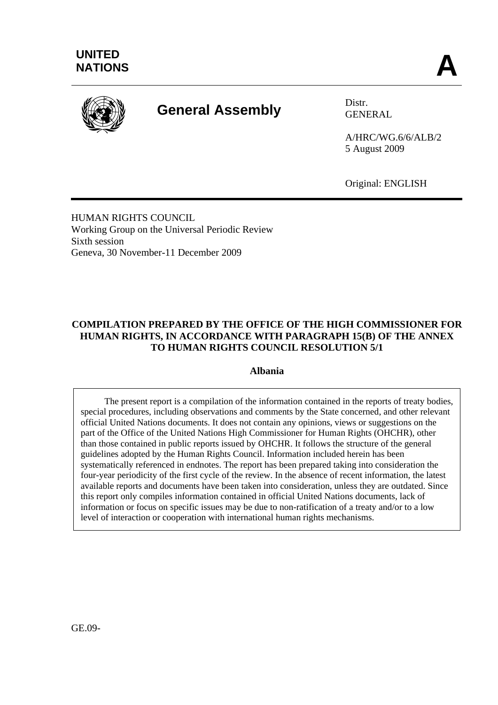

# **General Assembly** Distr.

GENERAL

A/HRC/WG.6/6/ALB/2 5 August 2009

Original: ENGLISH

HUMAN RIGHTS COUNCIL Working Group on the Universal Periodic Review Sixth session Geneva, 30 November-11 December 2009

## **COMPILATION PREPARED BY THE OFFICE OF THE HIGH COMMISSIONER FOR HUMAN RIGHTS, IN ACCORDANCE WITH PARAGRAPH 15(B) OF THE ANNEX TO HUMAN RIGHTS COUNCIL RESOLUTION 5/1**

#### **Albania**

 The present report is a compilation of the information contained in the reports of treaty bodies, special procedures, including observations and comments by the State concerned, and other relevant official United Nations documents. It does not contain any opinions, views or suggestions on the part of the Office of the United Nations High Commissioner for Human Rights (OHCHR), other than those contained in public reports issued by OHCHR. It follows the structure of the general guidelines adopted by the Human Rights Council. Information included herein has been systematically referenced in endnotes. The report has been prepared taking into consideration the four-year periodicity of the first cycle of the review. In the absence of recent information, the latest available reports and documents have been taken into consideration, unless they are outdated. Since this report only compiles information contained in official United Nations documents, lack of information or focus on specific issues may be due to non-ratification of a treaty and/or to a low level of interaction or cooperation with international human rights mechanisms.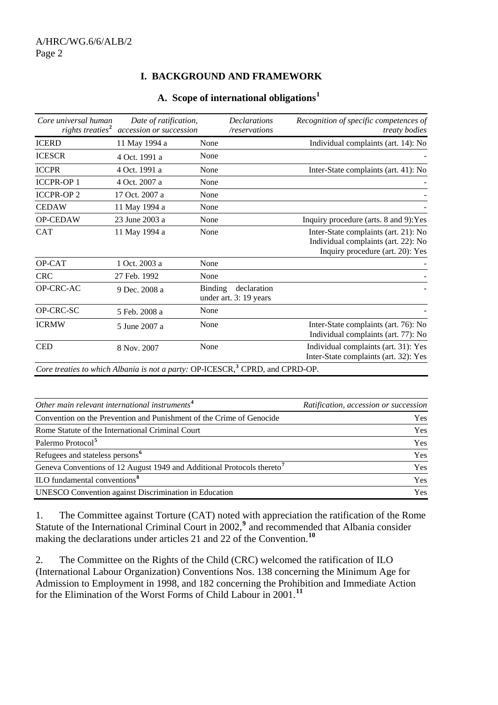#### **I. BACKGROUND AND FRAMEWORK**

| Core universal human<br>rights treaties <sup>2</sup> | Date of ratification,<br>accession or succession |                | <b>Declarations</b><br>/reservations  | Recognition of specific competences of<br>treaty bodies                                                         |
|------------------------------------------------------|--------------------------------------------------|----------------|---------------------------------------|-----------------------------------------------------------------------------------------------------------------|
| <b>ICERD</b>                                         | 11 May 1994 a                                    | None           |                                       | Individual complaints (art. 14): No                                                                             |
| <b>ICESCR</b>                                        | 4 Oct. 1991 a                                    | None           |                                       |                                                                                                                 |
| <b>ICCPR</b>                                         | 4 Oct. 1991 a                                    | None           |                                       | Inter-State complaints (art. 41): No                                                                            |
| <b>ICCPR-OP1</b>                                     | 4 Oct. 2007 a                                    | None           |                                       |                                                                                                                 |
| <b>ICCPR-OP2</b>                                     | 17 Oct. 2007 a                                   | None           |                                       |                                                                                                                 |
| <b>CEDAW</b>                                         | 11 May 1994 a                                    | None           |                                       |                                                                                                                 |
| OP-CEDAW                                             | 23 June 2003 a                                   | None           |                                       | Inquiry procedure (arts. 8 and 9): Yes                                                                          |
| <b>CAT</b>                                           | 11 May 1994 a                                    | None           |                                       | Inter-State complaints (art. 21): No<br>Individual complaints (art. 22): No<br>Inquiry procedure (art. 20): Yes |
| OP-CAT                                               | 1 Oct. 2003 a                                    | None           |                                       |                                                                                                                 |
| <b>CRC</b>                                           | 27 Feb. 1992                                     | None           |                                       |                                                                                                                 |
| OP-CRC-AC                                            | 9 Dec. 2008 a                                    | <b>Binding</b> | declaration<br>under art. 3: 19 years |                                                                                                                 |
| OP-CRC-SC                                            | 5 Feb. 2008 a                                    | None           |                                       |                                                                                                                 |
| <b>ICRMW</b>                                         | 5 June 2007 a                                    | None           |                                       | Inter-State complaints (art. 76): No<br>Individual complaints (art. 77): No                                     |
| <b>CED</b>                                           | 8 Nov. 2007                                      | None           |                                       | Individual complaints (art. 31): Yes<br>Inter-State complaints (art. 32): Yes                                   |

#### **A. Scope of international obligations[1](#page-14-0)**

| Other main relevant international instruments $4$                                  | Ratification, accession or succession |
|------------------------------------------------------------------------------------|---------------------------------------|
| Convention on the Prevention and Punishment of the Crime of Genocide               | Yes                                   |
| Rome Statute of the International Criminal Court                                   | Yes                                   |
| Palermo Protocol <sup>5</sup>                                                      | Yes                                   |
| Refugees and stateless persons <sup>6</sup>                                        | <b>Yes</b>                            |
| Geneva Conventions of 12 August 1949 and Additional Protocols thereto <sup>7</sup> | Yes                                   |
| ILO fundamental conventions <sup>8</sup>                                           | Yes                                   |
| <b>UNESCO</b> Convention against Discrimination in Education                       | <b>Yes</b>                            |
|                                                                                    |                                       |

1. The Committee against Torture (CAT) noted with appreciation the ratification of the Rome Statute of the International Criminal Court in 2002,<sup>[9](#page-15-0)</sup> and recommended that Albania consider making the declarations under articles 21 and 22 of the Convention.<sup>[10](#page-15-0)</sup>

2. The Committee on the Rights of the Child (CRC) welcomed the ratification of ILO (International Labour Organization) Conventions Nos. 138 concerning the Minimum Age for Admission to Employment in 1998, and 182 concerning the Prohibition and Immediate Action for the Elimination of the Worst Forms of Child Labour in 2001.**[11](#page-15-0)**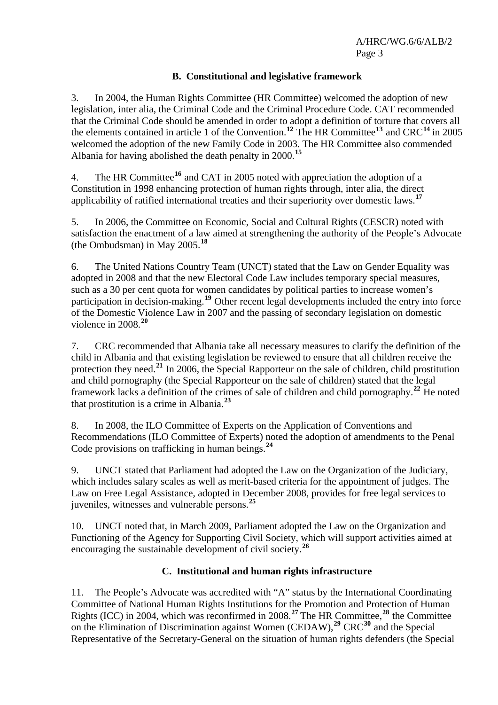#### **B. Constitutional and legislative framework**

3. In 2004, the Human Rights Committee (HR Committee) welcomed the adoption of new legislation, inter alia, the Criminal Code and the Criminal Procedure Code. CAT recommended that the Criminal Code should be amended in order to adopt a definition of torture that covers all the elements contained in article 1 of the Convention.**[12](#page-15-0)** The HR Committee**[13](#page-15-0)** and CRC**[14](#page-15-0)** in 2005 welcomed the adoption of the new Family Code in 2003. The HR Committee also commended Albania for having abolished the death penalty in 2000.**[15](#page-15-0)**

4. The HR Committee**[16](#page-15-0)** and CAT in 2005 noted with appreciation the adoption of a Constitution in 1998 enhancing protection of human rights through, inter alia, the direct applicability of ratified international treaties and their superiority over domestic laws.**[17](#page-15-0)**

5. In 2006, the Committee on Economic, Social and Cultural Rights (CESCR) noted with satisfaction the enactment of a law aimed at strengthening the authority of the People's Advocate (the Ombudsman) in May 2005.**[18](#page-15-0)**

6. The United Nations Country Team (UNCT) stated that the Law on Gender Equality was adopted in 2008 and that the new Electoral Code Law includes temporary special measures, such as a 30 per cent quota for women candidates by political parties to increase women's participation in decision-making.<sup>[19](#page-15-0)</sup> Other recent legal developments included the entry into force of the Domestic Violence Law in 2007 and the passing of secondary legislation on domestic violence in 2008.**[20](#page-15-0)**

7. CRC recommended that Albania take all necessary measures to clarify the definition of the child in Albania and that existing legislation be reviewed to ensure that all children receive the protection they need.**[21](#page-15-0)** In 2006, the Special Rapporteur on the sale of children, child prostitution and child pornography (the Special Rapporteur on the sale of children) stated that the legal framework lacks a definition of the crimes of sale of children and child pornography.**[22](#page-15-0)** He noted that prostitution is a crime in Albania.**[23](#page-15-0)**

8. In 2008, the ILO Committee of Experts on the Application of Conventions and Recommendations (ILO Committee of Experts) noted the adoption of amendments to the Penal Code provisions on trafficking in human beings.**[24](#page-15-0)**

9. UNCT stated that Parliament had adopted the Law on the Organization of the Judiciary, which includes salary scales as well as merit-based criteria for the appointment of judges. The Law on Free Legal Assistance, adopted in December 2008, provides for free legal services to juveniles, witnesses and vulnerable persons.**[25](#page-15-0)**

10. UNCT noted that, in March 2009, Parliament adopted the Law on the Organization and Functioning of the Agency for Supporting Civil Society, which will support activities aimed at encouraging the sustainable development of civil society.**[26](#page-15-0)**

#### **C. Institutional and human rights infrastructure**

11. The People's Advocate was accredited with "A" status by the International Coordinating Committee of National Human Rights Institutions for the Promotion and Protection of Human Rights (ICC) in 2004, which was reconfirmed in 2008.**[27](#page-15-0)** The HR Committee,**[28](#page-15-0)** the Committee on the Elimination of Discrimination against Women (CEDAW),**[29](#page-15-0)** CRC**[30](#page-15-0)** and the Special Representative of the Secretary-General on the situation of human rights defenders (the Special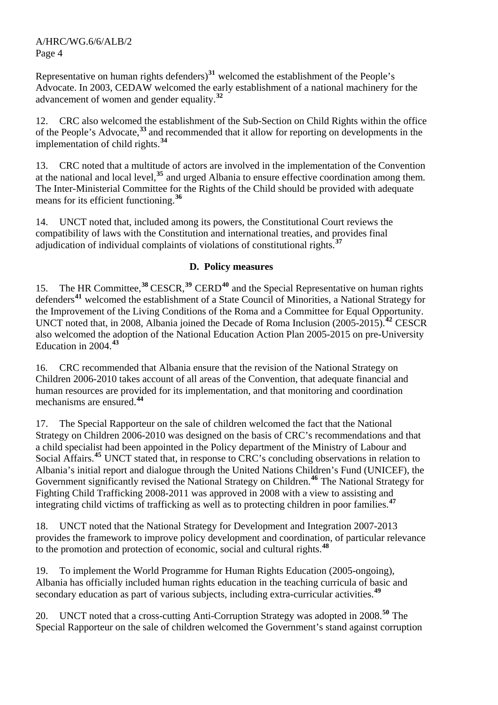Representative on human rights defenders)**[31](#page-15-0)** welcomed the establishment of the People's Advocate. In 2003, CEDAW welcomed the early establishment of a national machinery for the advancement of women and gender equality.**[32](#page-15-0)**

12. CRC also welcomed the establishment of the Sub-Section on Child Rights within the office of the People's Advocate,**[33](#page-15-0)** and recommended that it allow for reporting on developments in the implementation of child rights.**[34](#page-15-0)**

13. CRC noted that a multitude of actors are involved in the implementation of the Convention at the national and local level,**[35](#page-15-0)** and urged Albania to ensure effective coordination among them. The Inter-Ministerial Committee for the Rights of the Child should be provided with adequate means for its efficient functioning.**[36](#page-15-0)**

14. UNCT noted that, included among its powers, the Constitutional Court reviews the compatibility of laws with the Constitution and international treaties, and provides final adjudication of individual complaints of violations of constitutional rights.**[37](#page-16-0)**

#### **D. Policy measures**

15. The HR Committee,**[38](#page-16-0)** CESCR,**[39](#page-16-0)** CERD**[40](#page-16-0)** and the Special Representative on human rights defenders**[41](#page-16-0)** welcomed the establishment of a State Council of Minorities, a National Strategy for the Improvement of the Living Conditions of the Roma and a Committee for Equal Opportunity. UNCT noted that, in 2008, Albania joined the Decade of Roma Inclusion (2005-2015).**[42](#page-16-0)** CESCR also welcomed the adoption of the National Education Action Plan 2005-2015 on pre-University Education in 2004.**[43](#page-16-0)**

16. CRC recommended that Albania ensure that the revision of the National Strategy on Children 2006-2010 takes account of all areas of the Convention, that adequate financial and human resources are provided for its implementation, and that monitoring and coordination mechanisms are ensured.**[44](#page-16-0)**

17. The Special Rapporteur on the sale of children welcomed the fact that the National Strategy on Children 2006-2010 was designed on the basis of CRC's recommendations and that a child specialist had been appointed in the Policy department of the Ministry of Labour and Social Affairs.<sup>[45](#page-16-0)</sup> UNCT stated that, in response to CRC's concluding observations in relation to Albania's initial report and dialogue through the United Nations Children's Fund (UNICEF), the Government significantly revised the National Strategy on Children.**[46](#page-16-0)** The National Strategy for Fighting Child Trafficking 2008-2011 was approved in 2008 with a view to assisting and integrating child victims of trafficking as well as to protecting children in poor families.**[47](#page-16-0)**

18. UNCT noted that the National Strategy for Development and Integration 2007-2013 provides the framework to improve policy development and coordination, of particular relevance to the promotion and protection of economic, social and cultural rights.**[48](#page-16-0)**

19. To implement the World Programme for Human Rights Education (2005-ongoing), Albania has officially included human rights education in the teaching curricula of basic and secondary education as part of various subjects, including extra-curricular activities.**[49](#page-16-0)**

20. UNCT noted that a cross-cutting Anti-Corruption Strategy was adopted in 2008.**[50](#page-16-0)** The Special Rapporteur on the sale of children welcomed the Government's stand against corruption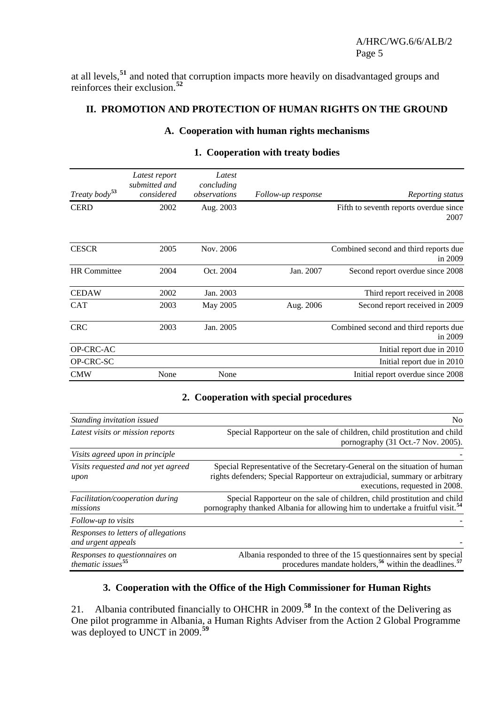at all levels,**[51](#page-16-0)** and noted that corruption impacts more heavily on disadvantaged groups and reinforces their exclusion.**[52](#page-16-0)**

#### **II. PROMOTION AND PROTECTION OF HUMAN RIGHTS ON THE GROUND**

# **A. Cooperation with human rights mechanisms**

| Treaty body <sup>53</sup> | Latest report<br>submitted and<br>considered | Latest<br>concluding<br>observations | Follow-up response | Reporting status                                   |
|---------------------------|----------------------------------------------|--------------------------------------|--------------------|----------------------------------------------------|
| <b>CERD</b>               | 2002                                         | Aug. 2003                            |                    | Fifth to seventh reports overdue since<br>2007     |
| <b>CESCR</b>              | 2005                                         | Nov. 2006                            |                    | Combined second and third reports due<br>in $2009$ |
| <b>HR</b> Committee       | 2004                                         | Oct. 2004                            | Jan. 2007          | Second report overdue since 2008                   |
| <b>CEDAW</b>              | 2002                                         | Jan. 2003                            |                    | Third report received in 2008                      |
| <b>CAT</b>                | 2003                                         | May 2005                             | Aug. 2006          | Second report received in 2009                     |
| <b>CRC</b>                | 2003                                         | Jan. 2005                            |                    | Combined second and third reports due<br>in $2009$ |
| OP-CRC-AC                 |                                              |                                      |                    | Initial report due in 2010                         |
| OP-CRC-SC                 |                                              |                                      |                    | Initial report due in 2010                         |
| <b>CMW</b>                | None                                         | None                                 |                    | Initial report overdue since 2008                  |

#### **1. Cooperation with treaty bodies**

#### **2. Cooperation with special procedures**

| Standing invitation issued                                      | No.                                                                                                                                                                                        |
|-----------------------------------------------------------------|--------------------------------------------------------------------------------------------------------------------------------------------------------------------------------------------|
| Latest visits or mission reports                                | Special Rapporteur on the sale of children, child prostitution and child<br>pornography (31 Oct.-7 Nov. 2005).                                                                             |
| Visits agreed upon in principle                                 |                                                                                                                                                                                            |
| Visits requested and not yet agreed<br>upon                     | Special Representative of the Secretary-General on the situation of human<br>rights defenders; Special Rapporteur on extrajudicial, summary or arbitrary<br>executions, requested in 2008. |
| <i>Facilitation/cooperation during</i><br>missions              | Special Rapporteur on the sale of children, child prostitution and child<br>pornography thanked Albania for allowing him to undertake a fruitful visit. <sup>54</sup>                      |
| Follow-up to visits                                             |                                                                                                                                                                                            |
| Responses to letters of allegations<br>and urgent appeals       |                                                                                                                                                                                            |
| Responses to questionnaires on<br>thematic issues <sup>55</sup> | Albania responded to three of the 15 questionnaires sent by special<br>procedures mandate holders, <sup>56</sup> within the deadlines. <sup>57</sup>                                       |

# **3. Cooperation with the Office of the High Commissioner for Human Rights**

21. Albania contributed financially to OHCHR in 2009.**[58](#page-17-0)** In the context of the Delivering as One pilot programme in Albania, a Human Rights Adviser from the Action 2 Global Programme was deployed to UNCT in 2009.**[59](#page-17-0)**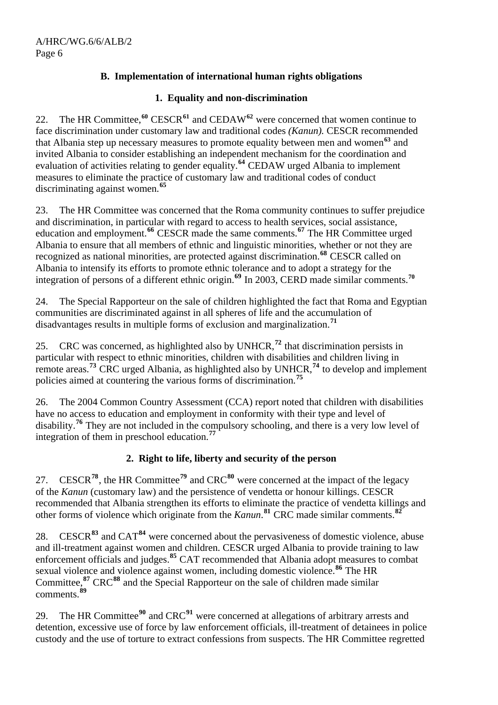## **B. Implementation of international human rights obligations**

#### **1. Equality and non-discrimination**

22. The HR Committee,**[60](#page-17-0)** CESCR**[61](#page-17-0)** and CEDAW**[62](#page-17-0)** were concerned that women continue to face discrimination under customary law and traditional codes *(Kanun).* CESCR recommended that Albania step up necessary measures to promote equality between men and women**[63](#page-17-0)** and invited Albania to consider establishing an independent mechanism for the coordination and evaluation of activities relating to gender equality.**[64](#page-17-0)** CEDAW urged Albania to implement measures to eliminate the practice of customary law and traditional codes of conduct discriminating against women.**[65](#page-17-0)**

23. The HR Committee was concerned that the Roma community continues to suffer prejudice and discrimination, in particular with regard to access to health services, social assistance, education and employment.**[66](#page-17-0)** CESCR made the same comments.**[67](#page-17-0)** The HR Committee urged Albania to ensure that all members of ethnic and linguistic minorities, whether or not they are recognized as national minorities, are protected against discrimination.**[68](#page-17-0)** CESCR called on Albania to intensify its efforts to promote ethnic tolerance and to adopt a strategy for the integration of persons of a different ethnic origin.**[69](#page-17-0)** In 2003, CERD made similar comments.**[70](#page-17-0)**

24. The Special Rapporteur on the sale of children highlighted the fact that Roma and Egyptian communities are discriminated against in all spheres of life and the accumulation of disadvantages results in multiple forms of exclusion and marginalization.**[71](#page-17-0)**

25. CRC was concerned, as highlighted also by UNHCR,**[72](#page-17-0)** that discrimination persists in particular with respect to ethnic minorities, children with disabilities and children living in remote areas.**[73](#page-17-0)** CRC urged Albania, as highlighted also by UNHCR,**[74](#page-17-0)** to develop and implement policies aimed at countering the various forms of discrimination.**[75](#page-17-0)**

26. The 2004 Common Country Assessment (CCA) report noted that children with disabilities have no access to education and employment in conformity with their type and level of disability.**[76](#page-17-0)** They are not included in the compulsory schooling, and there is a very low level of integration of them in preschool education.**[77](#page-17-0)**

## **2. Right to life, liberty and security of the person**

27. CESCR**[78](#page-17-0)**, the HR Committee**[79](#page-17-0)** and CRC**[80](#page-17-0)** were concerned at the impact of the legacy of the *Kanun* (customary law) and the persistence of vendetta or honour killings. CESCR recommended that Albania strengthen its efforts to eliminate the practice of vendetta killings and other forms of violence which originate from the *Kanun*. **[81](#page-17-0)** CRC made similar comments.**[82](#page-17-0)**

28. CESCR**[83](#page-18-0)** and CAT**[84](#page-18-0)** were concerned about the pervasiveness of domestic violence, abuse and ill-treatment against women and children. CESCR urged Albania to provide training to law enforcement officials and judges.**[85](#page-18-0)** CAT recommended that Albania adopt measures to combat sexual violence and violence against women, including domestic violence.**[86](#page-18-0)** The HR Committee,<sup>[87](#page-18-0)</sup> CRC<sup>[88](#page-18-0)</sup> and the Special Rapporteur on the sale of children made similar comments.**[89](#page-18-0)**

29. The HR Committee**[90](#page-18-0)** and CRC**[91](#page-18-0)** were concerned at allegations of arbitrary arrests and detention, excessive use of force by law enforcement officials, ill-treatment of detainees in police custody and the use of torture to extract confessions from suspects. The HR Committee regretted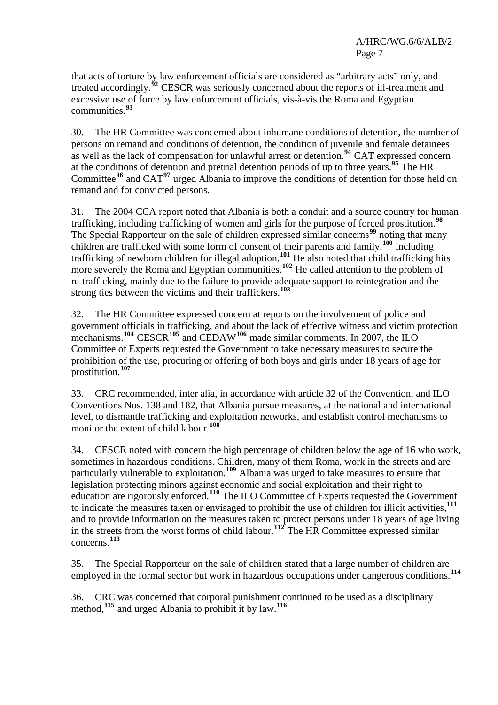that acts of torture by law enforcement officials are considered as "arbitrary acts" only, and treated accordingly.**[92](#page-18-0)** CESCR was seriously concerned about the reports of ill-treatment and excessive use of force by law enforcement officials, vis-à-vis the Roma and Egyptian communities.**[93](#page-18-0)**

30. The HR Committee was concerned about inhumane conditions of detention, the number of persons on remand and conditions of detention, the condition of juvenile and female detainees as well as the lack of compensation for unlawful arrest or detention.**[94](#page-18-0)** CAT expressed concern at the conditions of detention and pretrial detention periods of up to three years.**[95](#page-18-0)** The HR Committee**[96](#page-18-0)** and CAT**[97](#page-18-0)** urged Albania to improve the conditions of detention for those held on remand and for convicted persons.

31. The 2004 CCA report noted that Albania is both a conduit and a source country for human trafficking, including trafficking of women and girls for the purpose of forced prostitution.**[98](#page-18-0)** The Special Rapporteur on the sale of children expressed similar concerns**[99](#page-18-0)** noting that many children are trafficked with some form of consent of their parents and family,**[100](#page-18-0)** including trafficking of newborn children for illegal adoption.**[101](#page-18-0)** He also noted that child trafficking hits more severely the Roma and Egyptian communities.<sup>[102](#page-18-0)</sup> He called attention to the problem of re-trafficking, mainly due to the failure to provide adequate support to reintegration and the strong ties between the victims and their traffickers.**[103](#page-18-0)**

32. The HR Committee expressed concern at reports on the involvement of police and government officials in trafficking, and about the lack of effective witness and victim protection mechanisms.**[104](#page-18-0)** CESCR**[105](#page-18-0)** and CEDAW**[106](#page-18-0)** made similar comments. In 2007, the ILO Committee of Experts requested the Government to take necessary measures to secure the prohibition of the use, procuring or offering of both boys and girls under 18 years of age for prostitution.**[107](#page-18-0)**

33. CRC recommended, inter alia, in accordance with article 32 of the Convention, and ILO Conventions Nos. 138 and 182, that Albania pursue measures, at the national and international level, to dismantle trafficking and exploitation networks, and establish control mechanisms to monitor the extent of child labour.**[108](#page-18-0)**

34. CESCR noted with concern the high percentage of children below the age of 16 who work, sometimes in hazardous conditions. Children, many of them Roma, work in the streets and are particularly vulnerable to exploitation.**[109](#page-18-0)** Albania was urged to take measures to ensure that legislation protecting minors against economic and social exploitation and their right to education are rigorously enforced.**[110](#page-18-0)** The ILO Committee of Experts requested the Government to indicate the measures taken or envisaged to prohibit the use of children for illicit activities,**[111](#page-18-0)** and to provide information on the measures taken to protect persons under 18 years of age living in the streets from the worst forms of child labour.**[112](#page-18-0)** The HR Committee expressed similar concerns.**[113](#page-18-0)**

35. The Special Rapporteur on the sale of children stated that a large number of children are employed in the formal sector but work in hazardous occupations under dangerous conditions.<sup>[114](#page-18-0)</sup>

36. CRC was concerned that corporal punishment continued to be used as a disciplinary method,**[115](#page-18-0)** and urged Albania to prohibit it by law.**[116](#page-18-0)**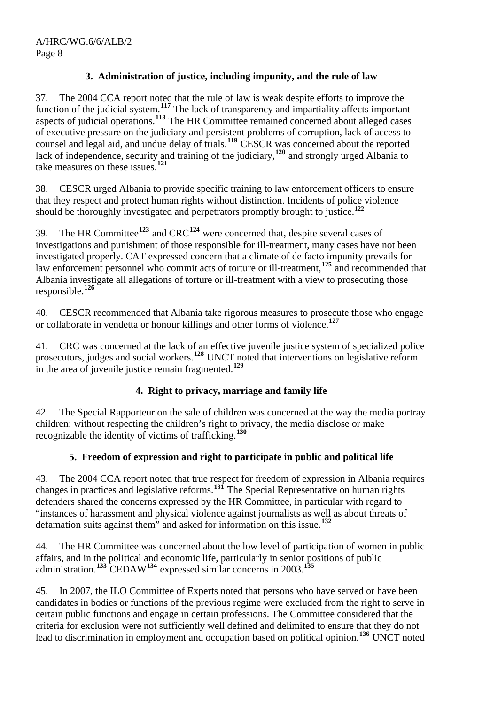## **3. Administration of justice, including impunity, and the rule of law**

37. The 2004 CCA report noted that the rule of law is weak despite efforts to improve the function of the judicial system.**[117](#page-19-0)** The lack of transparency and impartiality affects important aspects of judicial operations.<sup>[118](#page-19-0)</sup> The HR Committee remained concerned about alleged cases of executive pressure on the judiciary and persistent problems of corruption, lack of access to counsel and legal aid, and undue delay of trials.**[119](#page-19-0)** CESCR was concerned about the reported lack of independence, security and training of the judiciary,**[120](#page-19-0)** and strongly urged Albania to take measures on these issues.**[121](#page-19-0)**

38. CESCR urged Albania to provide specific training to law enforcement officers to ensure that they respect and protect human rights without distinction. Incidents of police violence should be thoroughly investigated and perpetrators promptly brought to justice.**[122](#page-19-0)**

39. The HR Committee**[123](#page-19-0)** and CRC**[124](#page-19-0)** were concerned that, despite several cases of investigations and punishment of those responsible for ill-treatment, many cases have not been investigated properly. CAT expressed concern that a climate of de facto impunity prevails for law enforcement personnel who commit acts of torture or ill-treatment,<sup>[125](#page-19-0)</sup> and recommended that Albania investigate all allegations of torture or ill-treatment with a view to prosecuting those responsible.**[126](#page-19-0)**

40. CESCR recommended that Albania take rigorous measures to prosecute those who engage or collaborate in vendetta or honour killings and other forms of violence.**[127](#page-19-0)**

41. CRC was concerned at the lack of an effective juvenile justice system of specialized police prosecutors, judges and social workers.**[128](#page-19-0)** UNCT noted that interventions on legislative reform in the area of juvenile justice remain fragmented.**[129](#page-19-0)**

## **4. Right to privacy, marriage and family life**

42. The Special Rapporteur on the sale of children was concerned at the way the media portray children: without respecting the children's right to privacy, the media disclose or make recognizable the identity of victims of trafficking.**[130](#page-19-0)**

## **5. Freedom of expression and right to participate in public and political life**

43. The 2004 CCA report noted that true respect for freedom of expression in Albania requires changes in practices and legislative reforms.**[131](#page-19-0)** The Special Representative on human rights defenders shared the concerns expressed by the HR Committee, in particular with regard to "instances of harassment and physical violence against journalists as well as about threats of defamation suits against them" and asked for information on this issue.**[132](#page-19-0)**

44. The HR Committee was concerned about the low level of participation of women in public affairs, and in the political and economic life, particularly in senior positions of public administration.**[133](#page-19-0)** CEDAW**[134](#page-19-0)** expressed similar concerns in 2003.**[135](#page-19-0)**

45. In 2007, the ILO Committee of Experts noted that persons who have served or have been candidates in bodies or functions of the previous regime were excluded from the right to serve in certain public functions and engage in certain professions. The Committee considered that the criteria for exclusion were not sufficiently well defined and delimited to ensure that they do not lead to discrimination in employment and occupation based on political opinion.**[136](#page-19-0)** UNCT noted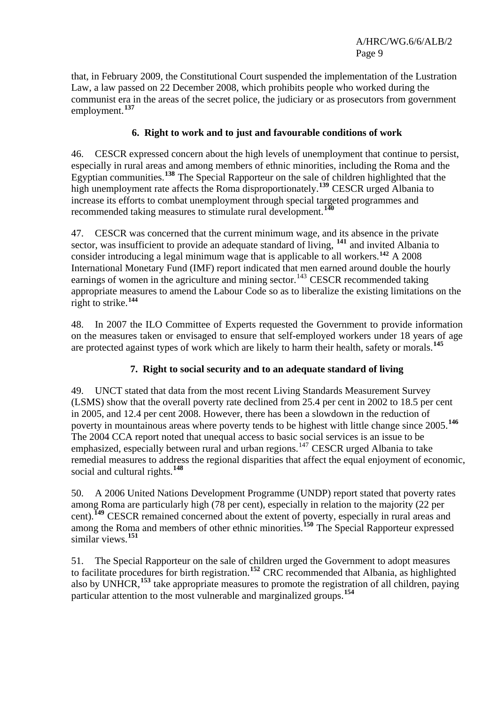that, in February 2009, the Constitutional Court suspended the implementation of the Lustration Law, a law passed on 22 December 2008, which prohibits people who worked during the communist era in the areas of the secret police, the judiciary or as prosecutors from government employment.**[137](#page-19-0)**

#### **6. Right to work and to just and favourable conditions of work**

46. CESCR expressed concern about the high levels of unemployment that continue to persist, especially in rural areas and among members of ethnic minorities, including the Roma and the Egyptian communities.**[138](#page-19-0)** The Special Rapporteur on the sale of children highlighted that the high unemployment rate affects the Roma disproportionately.<sup>[139](#page-19-0)</sup> CESCR urged Albania to increase its efforts to combat unemployment through special targeted programmes and recommended taking measures to stimulate rural development.**[140](#page-19-0)**

47. CESCR was concerned that the current minimum wage, and its absence in the private sector, was insufficient to provide an adequate standard of living, <sup>[141](#page-19-0)</sup> and invited Albania to consider introducing a legal minimum wage that is applicable to all workers.**[142](#page-19-0)** A 2008 International Monetary Fund (IMF) report indicated that men earned around double the hourly earnings of women in the agriculture and mining sector.<sup>[143](#page-19-0)</sup> CESCR recommended taking appropriate measures to amend the Labour Code so as to liberalize the existing limitations on the right to strike.**[144](#page-19-0)**

48. In 2007 the ILO Committee of Experts requested the Government to provide information on the measures taken or envisaged to ensure that self-employed workers under 18 years of age are protected against types of work which are likely to harm their health, safety or morals.**[145](#page-19-0)**

#### **7. Right to social security and to an adequate standard of living**

49. UNCT stated that data from the most recent Living Standards Measurement Survey (LSMS) show that the overall poverty rate declined from 25.4 per cent in 2002 to 18.5 per cent in 2005, and 12.4 per cent 2008. However, there has been a slowdown in the reduction of poverty in mountainous areas where poverty tends to be highest with little change since 2005.**[146](#page-19-0)** The 2004 CCA report noted that unequal access to basic social services is an issue to be emphasized, especially between rural and urban regions.<sup>[147](#page-19-0)</sup> CESCR urged Albania to take remedial measures to address the regional disparities that affect the equal enjoyment of economic, social and cultural rights.**[148](#page-19-0)**

50. A 2006 United Nations Development Programme (UNDP) report stated that poverty rates among Roma are particularly high (78 per cent), especially in relation to the majority (22 per cent).<sup>[149](#page-19-0)</sup> CESCR remained concerned about the extent of poverty, especially in rural areas and among the Roma and members of other ethnic minorities.**[150](#page-19-0)** The Special Rapporteur expressed similar views.**[151](#page-19-0)**

51. The Special Rapporteur on the sale of children urged the Government to adopt measures to facilitate procedures for birth registration.**[152](#page-19-0)** CRC recommended that Albania, as highlighted also by UNHCR,**[153](#page-19-0)** take appropriate measures to promote the registration of all children, paying particular attention to the most vulnerable and marginalized groups.**[154](#page-19-0)**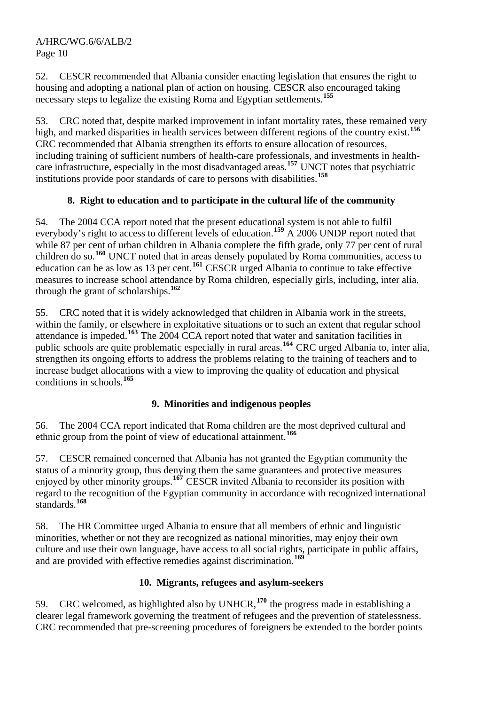52. CESCR recommended that Albania consider enacting legislation that ensures the right to housing and adopting a national plan of action on housing. CESCR also encouraged taking necessary steps to legalize the existing Roma and Egyptian settlements.**[155](#page-19-0)**

53. CRC noted that, despite marked improvement in infant mortality rates, these remained very high, and marked disparities in health services between different regions of the country exist.**[156](#page-19-0)** CRC recommended that Albania strengthen its efforts to ensure allocation of resources, including training of sufficient numbers of health-care professionals, and investments in healthcare infrastructure, especially in the most disadvantaged areas.**[157](#page-19-0)** UNCT notes that psychiatric institutions provide poor standards of care to persons with disabilities.**[158](#page-19-0)**

## **8. Right to education and to participate in the cultural life of the community**

54. The 2004 CCA report noted that the present educational system is not able to fulfil everybody's right to access to different levels of education.**[159](#page-19-0)** A 2006 UNDP report noted that while 87 per cent of urban children in Albania complete the fifth grade, only 77 per cent of rural children do so.<sup>[160](#page-19-0)</sup> UNCT noted that in areas densely populated by Roma communities, access to education can be as low as 13 per cent.**[161](#page-19-0)** CESCR urged Albania to continue to take effective measures to increase school attendance by Roma children, especially girls, including, inter alia, through the grant of scholarships.**[162](#page-19-0)**

55. CRC noted that it is widely acknowledged that children in Albania work in the streets, within the family, or elsewhere in exploitative situations or to such an extent that regular school attendance is impeded.**[163](#page-19-0)** The 2004 CCA report noted that water and sanitation facilities in public schools are quite problematic especially in rural areas.**[164](#page-19-0)** CRC urged Albania to, inter alia, strengthen its ongoing efforts to address the problems relating to the training of teachers and to increase budget allocations with a view to improving the quality of education and physical conditions in schools.**[165](#page-19-0)**

## **9. Minorities and indigenous peoples**

56. The 2004 CCA report indicated that Roma children are the most deprived cultural and ethnic group from the point of view of educational attainment.**[166](#page-19-0)**

57. CESCR remained concerned that Albania has not granted the Egyptian community the status of a minority group, thus denying them the same guarantees and protective measures enjoyed by other minority groups.**[167](#page-19-0)** CESCR invited Albania to reconsider its position with regard to the recognition of the Egyptian community in accordance with recognized international standards.**[168](#page-19-0)**

58. The HR Committee urged Albania to ensure that all members of ethnic and linguistic minorities, whether or not they are recognized as national minorities, may enjoy their own culture and use their own language, have access to all social rights, participate in public affairs, and are provided with effective remedies against discrimination.**[169](#page-19-0)**

## **10. Migrants, refugees and asylum-seekers**

59. CRC welcomed, as highlighted also by UNHCR,**[170](#page-19-0)** the progress made in establishing a clearer legal framework governing the treatment of refugees and the prevention of statelessness. CRC recommended that pre-screening procedures of foreigners be extended to the border points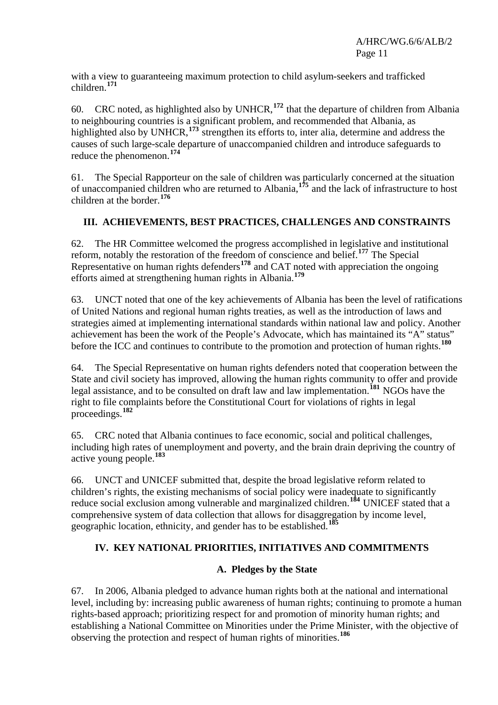with a view to guaranteeing maximum protection to child asylum-seekers and trafficked children.**[171](#page-19-0)**

60. CRC noted, as highlighted also by UNHCR,**[172](#page-19-0)** that the departure of children from Albania to neighbouring countries is a significant problem, and recommended that Albania, as highlighted also by UNHCR,<sup>[173](#page-19-0)</sup> strengthen its efforts to, inter alia, determine and address the causes of such large-scale departure of unaccompanied children and introduce safeguards to reduce the phenomenon.**[174](#page-19-0)**

61. The Special Rapporteur on the sale of children was particularly concerned at the situation of unaccompanied children who are returned to Albania,**[175](#page-19-0)** and the lack of infrastructure to host children at the border.**[176](#page-19-0)**

## **III. ACHIEVEMENTS, BEST PRACTICES, CHALLENGES AND CONSTRAINTS**

62. The HR Committee welcomed the progress accomplished in legislative and institutional reform, notably the restoration of the freedom of conscience and belief.**[177](#page-19-0)** The Special Representative on human rights defenders<sup>[178](#page-19-0)</sup> and CAT noted with appreciation the ongoing efforts aimed at strengthening human rights in Albania.**[179](#page-19-0)**

63. UNCT noted that one of the key achievements of Albania has been the level of ratifications of United Nations and regional human rights treaties, as well as the introduction of laws and strategies aimed at implementing international standards within national law and policy. Another achievement has been the work of the People's Advocate, which has maintained its "A" status" before the ICC and continues to contribute to the promotion and protection of human rights.**[180](#page-19-0)**

64. The Special Representative on human rights defenders noted that cooperation between the State and civil society has improved, allowing the human rights community to offer and provide legal assistance, and to be consulted on draft law and law implementation.**[181](#page-19-0)** NGOs have the right to file complaints before the Constitutional Court for violations of rights in legal proceedings.**[182](#page-19-0)**

65. CRC noted that Albania continues to face economic, social and political challenges, including high rates of unemployment and poverty, and the brain drain depriving the country of active young people.**[183](#page-19-0)**

66. UNCT and UNICEF submitted that, despite the broad legislative reform related to children's rights, the existing mechanisms of social policy were inadequate to significantly reduce social exclusion among vulnerable and marginalized children.**[184](#page-19-0)** UNICEF stated that a comprehensive system of data collection that allows for disaggregation by income level, geographic location, ethnicity, and gender has to be established.**[185](#page-19-0)**

## **IV. KEY NATIONAL PRIORITIES, INITIATIVES AND COMMITMENTS**

## **A. Pledges by the State**

67. In 2006, Albania pledged to advance human rights both at the national and international level, including by: increasing public awareness of human rights; continuing to promote a human rights-based approach; prioritizing respect for and promotion of minority human rights; and establishing a National Committee on Minorities under the Prime Minister, with the objective of observing the protection and respect of human rights of minorities.**[186](#page-19-0)**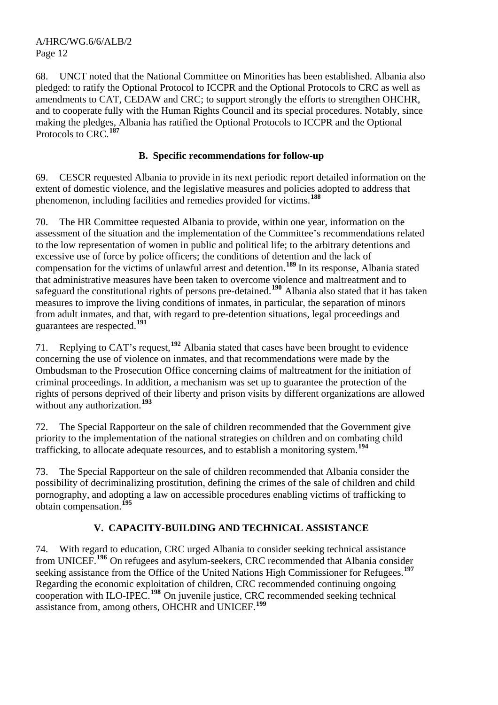68. UNCT noted that the National Committee on Minorities has been established. Albania also pledged: to ratify the Optional Protocol to ICCPR and the Optional Protocols to CRC as well as amendments to CAT, CEDAW and CRC; to support strongly the efforts to strengthen OHCHR, and to cooperate fully with the Human Rights Council and its special procedures. Notably, since making the pledges, Albania has ratified the Optional Protocols to ICCPR and the Optional Protocols to CRC.**[187](#page-19-0)**

#### **B. Specific recommendations for follow-up**

69. CESCR requested Albania to provide in its next periodic report detailed information on the extent of domestic violence, and the legislative measures and policies adopted to address that phenomenon, including facilities and remedies provided for victims.**[188](#page-19-0)**

70. The HR Committee requested Albania to provide, within one year, information on the assessment of the situation and the implementation of the Committee's recommendations related to the low representation of women in public and political life; to the arbitrary detentions and excessive use of force by police officers; the conditions of detention and the lack of compensation for the victims of unlawful arrest and detention.**[189](#page-19-0)** In its response, Albania stated that administrative measures have been taken to overcome violence and maltreatment and to safeguard the constitutional rights of persons pre-detained.**[190](#page-19-0)** Albania also stated that it has taken measures to improve the living conditions of inmates, in particular, the separation of minors from adult inmates, and that, with regard to pre-detention situations, legal proceedings and guarantees are respected.**[191](#page-19-0)**

71. Replying to CAT's request,**[192](#page-19-0)** Albania stated that cases have been brought to evidence concerning the use of violence on inmates, and that recommendations were made by the Ombudsman to the Prosecution Office concerning claims of maltreatment for the initiation of criminal proceedings. In addition, a mechanism was set up to guarantee the protection of the rights of persons deprived of their liberty and prison visits by different organizations are allowed without any authorization.**[193](#page-19-0)**

72. The Special Rapporteur on the sale of children recommended that the Government give priority to the implementation of the national strategies on children and on combating child trafficking, to allocate adequate resources, and to establish a monitoring system.**[194](#page-19-0)**

73. The Special Rapporteur on the sale of children recommended that Albania consider the possibility of decriminalizing prostitution, defining the crimes of the sale of children and child pornography, and adopting a law on accessible procedures enabling victims of trafficking to obtain compensation.**[195](#page-19-0)**

## **V. CAPACITY-BUILDING AND TECHNICAL ASSISTANCE**

74. With regard to education, CRC urged Albania to consider seeking technical assistance from UNICEF.**[196](#page-19-0)** On refugees and asylum-seekers, CRC recommended that Albania consider seeking assistance from the Office of the United Nations High Commissioner for Refugees.**[197](#page-19-0)** Regarding the economic exploitation of children, CRC recommended continuing ongoing cooperation with ILO-IPEC.**[198](#page-19-0)** On juvenile justice, CRC recommended seeking technical assistance from, among others, OHCHR and UNICEF.**[199](#page-19-0)**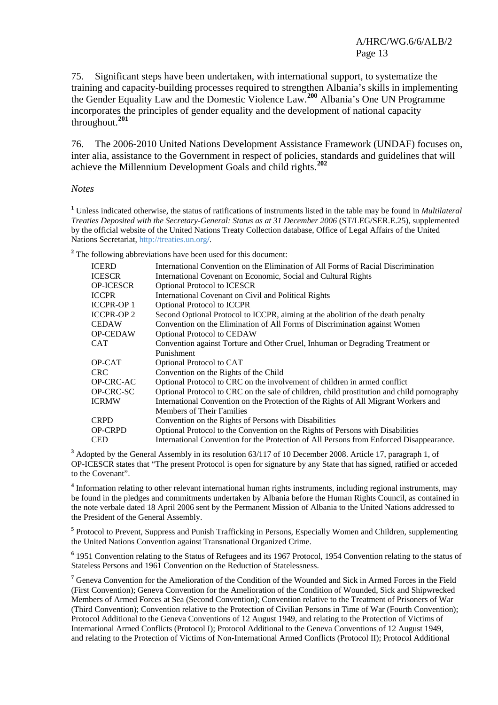75. Significant steps have been undertaken, with international support, to systematize the training and capacity-building processes required to strengthen Albania's skills in implementing the Gender Equality Law and the Domestic Violence Law.**[200](#page-19-0)** Albania's One UN Programme incorporates the principles of gender equality and the development of national capacity throughout.**[201](#page-19-1)**

76. The 2006-2010 United Nations Development Assistance Framework (UNDAF) focuses on, inter alia, assistance to the Government in respect of policies, standards and guidelines that will achieve the Millennium Development Goals and child rights.**[202](#page-19-2)**

*Notes* 

**1** Unless indicated otherwise, the status of ratifications of instruments listed in the table may be found in *Multilateral Treaties Deposited with the Secretary-General: Status as at 31 December 2006* (ST/LEG/SER.E.25), supplemented by the official website of the United Nations Treaty Collection database, Office of Legal Affairs of the United Nations Secretariat, [http://treaties.un.org](http://treaties.un.org/)**/**.

<sup>2</sup> The following abbreviations have been used for this document:

| <b>ICERD</b>      | International Convention on the Elimination of All Forms of Racial Discrimination          |
|-------------------|--------------------------------------------------------------------------------------------|
| <b>ICESCR</b>     | International Covenant on Economic, Social and Cultural Rights                             |
| <b>OP-ICESCR</b>  | <b>Optional Protocol to ICESCR</b>                                                         |
| <b>ICCPR</b>      | International Covenant on Civil and Political Rights                                       |
| <b>ICCPR-OP 1</b> | <b>Optional Protocol to ICCPR</b>                                                          |
| <b>ICCPR-OP2</b>  | Second Optional Protocol to ICCPR, aiming at the abolition of the death penalty            |
| <b>CEDAW</b>      | Convention on the Elimination of All Forms of Discrimination against Women                 |
| <b>OP-CEDAW</b>   | <b>Optional Protocol to CEDAW</b>                                                          |
| <b>CAT</b>        | Convention against Torture and Other Cruel, Inhuman or Degrading Treatment or              |
|                   | Punishment                                                                                 |
| OP-CAT            | Optional Protocol to CAT                                                                   |
| <b>CRC</b>        | Convention on the Rights of the Child                                                      |
| OP-CRC-AC         | Optional Protocol to CRC on the involvement of children in armed conflict                  |
| OP-CRC-SC         | Optional Protocol to CRC on the sale of children, child prostitution and child pornography |
| <b>ICRMW</b>      | International Convention on the Protection of the Rights of All Migrant Workers and        |
|                   | <b>Members of Their Families</b>                                                           |
| <b>CRPD</b>       | Convention on the Rights of Persons with Disabilities                                      |
| <b>OP-CRPD</b>    | Optional Protocol to the Convention on the Rights of Persons with Disabilities             |
| <b>CED</b>        | International Convention for the Protection of All Persons from Enforced Disappearance.    |

<sup>3</sup> Adopted by the General Assembly in its resolution 63/117 of 10 December 2008. Article 17, paragraph 1, of OP-ICESCR states that "The present Protocol is open for signature by any State that has signed, ratified or acceded to the Covenant".

<sup>4</sup> Information relating to other relevant international human rights instruments, including regional instruments, may be found in the pledges and commitments undertaken by Albania before the Human Rights Council, as contained in the note verbale dated 18 April 2006 sent by the Permanent Mission of Albania to the United Nations addressed to the President of the General Assembly.

<sup>5</sup> Protocol to Prevent, Suppress and Punish Trafficking in Persons, Especially Women and Children, supplementing the United Nations Convention against Transnational Organized Crime.

<sup>6</sup> 1951 Convention relating to the Status of Refugees and its 1967 Protocol, 1954 Convention relating to the status of Stateless Persons and 1961 Convention on the Reduction of Statelessness.

<sup>7</sup> Geneva Convention for the Amelioration of the Condition of the Wounded and Sick in Armed Forces in the Field (First Convention); Geneva Convention for the Amelioration of the Condition of Wounded, Sick and Shipwrecked Members of Armed Forces at Sea (Second Convention); Convention relative to the Treatment of Prisoners of War (Third Convention); Convention relative to the Protection of Civilian Persons in Time of War (Fourth Convention); Protocol Additional to the Geneva Conventions of 12 August 1949, and relating to the Protection of Victims of International Armed Conflicts (Protocol I); Protocol Additional to the Geneva Conventions of 12 August 1949, and relating to the Protection of Victims of Non-International Armed Conflicts (Protocol II); Protocol Additional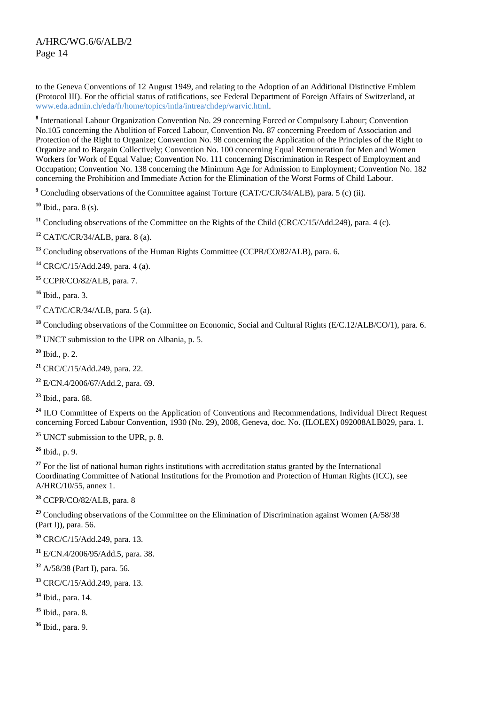to the Geneva Conventions of 12 August 1949, and relating to the Adoption of an Additional Distinctive Emblem (Protocol III). For the official status of ratifications, see Federal Department of Foreign Affairs of Switzerland, at [www.eda.admin.ch/eda/fr/home/topics/intla/intrea/chdep/warvic.html](http://www.eda.admin.ch/eda/fr/home/topics/intla/intrea/chdep/warvic.html).

<sup>8</sup> International Labour Organization Convention No. 29 concerning Forced or Compulsory Labour; Convention No.105 concerning the Abolition of Forced Labour, Convention No. 87 concerning Freedom of Association and Protection of the Right to Organize; Convention No. 98 concerning the Application of the Principles of the Right to Organize and to Bargain Collectively; Convention No. 100 concerning Equal Remuneration for Men and Women Workers for Work of Equal Value; Convention No. 111 concerning Discrimination in Respect of Employment and Occupation; Convention No. 138 concerning the Minimum Age for Admission to Employment; Convention No. 182 concerning the Prohibition and Immediate Action for the Elimination of the Worst Forms of Child Labour.

<sup>9</sup> Concluding observations of the Committee against Torture (CAT/C/CR/34/ALB), para. 5 (c) (ii).

**<sup>10</sup>** Ibid., para. 8 (s)*.*

**<sup>11</sup>** Concluding observations of the Committee on the Rights of the Child (CRC/C/15/Add.249), para. 4 (c)*.*

**<sup>12</sup>** CAT/C/CR/34/ALB, para. 8 (a).

<sup>13</sup> Concluding observations of the Human Rights Committee (CCPR/CO/82/ALB), para. 6.

**<sup>14</sup>** CRC/C/15/Add.249, para. 4 (a).

**<sup>15</sup>** CCPR/CO/82/ALB, para. 7.

**<sup>16</sup>** Ibid., para. 3.

**<sup>17</sup>** CAT/C/CR/34/ALB, para. 5 (a).

<sup>18</sup> Concluding observations of the Committee on Economic, Social and Cultural Rights (E/C.12/ALB/CO/1), para. 6.

**<sup>19</sup>** UNCT submission to the UPR on Albania, p. 5.

**<sup>20</sup>** Ibid., p. 2.

**<sup>21</sup>** CRC/C/15/Add.249, para. 22.

**<sup>22</sup>** E/CN.4/2006/67/Add.2, para. 69.

**<sup>23</sup>** Ibid., para. 68.

<sup>24</sup> ILO Committee of Experts on the Application of Conventions and Recommendations, Individual Direct Request concerning Forced Labour Convention, 1930 (No. 29), 2008, Geneva, doc. No. (ILOLEX) 092008ALB029, para. 1.

**<sup>25</sup>** UNCT submission to the UPR, p. 8.

**<sup>26</sup>** Ibid., p. 9.

<sup>27</sup> For the list of national human rights institutions with accreditation status granted by the International Coordinating Committee of National Institutions for the Promotion and Protection of Human Rights (ICC), see A/HRC/10/55, annex 1.

**<sup>28</sup>** CCPR/CO/82/ALB, para. 8

<sup>29</sup> Concluding observations of the Committee on the Elimination of Discrimination against Women (A/58/38) (Part I)), para. 56.

**<sup>30</sup>** CRC/C/15/Add.249, para. 13.

**<sup>31</sup>** E/CN.4/2006/95/Add.5, para. 38.

**<sup>32</sup>** A/58/38 (Part I), para. 56.

**<sup>33</sup>** CRC/C/15/Add.249, para. 13.

**<sup>34</sup>** Ibid., para. 14.

**<sup>35</sup>** Ibid., para. 8.

**<sup>36</sup>** Ibid., para. 9.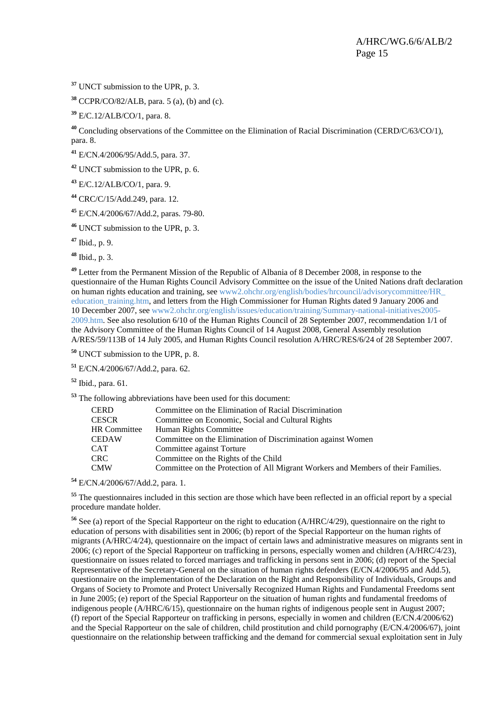<span id="page-14-1"></span>**<sup>37</sup>** UNCT submission to the UPR, p. 3.

**<sup>38</sup>** CCPR/CO/82/ALB, para. 5 (a), (b) and (c).

**<sup>39</sup>** E/C.12/ALB/CO/1, para. 8.

**<sup>40</sup>** Concluding observations of the Committee on the Elimination of Racial Discrimination (CERD/C/63/CO/1), para. 8.

**<sup>41</sup>** E/CN.4/2006/95/Add.5, para. 37.

**<sup>42</sup>** UNCT submission to the UPR, p. 6.

**<sup>43</sup>** E/C.12/ALB/CO/1, para. 9.

**<sup>44</sup>** CRC/C/15/Add.249, para. 12.

<span id="page-14-0"></span>**<sup>45</sup>** E/CN.4/2006/67/Add.2, paras. 79-80.

**<sup>46</sup>** UNCT submission to the UPR, p. 3.

**<sup>47</sup>** Ibid., p. 9.

**<sup>48</sup>** Ibid., p. 3.

**<sup>49</sup>** Letter from the Permanent Mission of the Republic of Albania of 8 December 2008, in response to the questionnaire of the Human Rights Council Advisory Committee on the issue of the United Nations draft declaration on human rights education and training, see www2.ohchr.org/english/bodies/hrcouncil/advisorycommittee/HR\_ education training.htm, and letters from the High Commissioner for Human Rights dated 9 January 2006 and 10 December 2007, see www2.ohchr.org/english/issues/education/training/Summary-national-initiatives2005- 2009.htm. See also resolution 6/10 of the Human Rights Council of 28 September 2007, recommendation 1/1 of the Advisory Committee of the Human Rights Council of 14 August 2008, General Assembly resolution A/RES/59/113B of 14 July 2005, and Human Rights Council resolution A/HRC/RES/6/24 of 28 September 2007.

**<sup>50</sup>** UNCT submission to the UPR, p. 8.

**<sup>51</sup>** E/CN.4/2006/67/Add.2, para. 62.

**<sup>52</sup>** Ibid., para. 61.

**<sup>53</sup>** The following abbreviations have been used for this document:

| CERD                | Committee on the Elimination of Racial Discrimination                             |
|---------------------|-----------------------------------------------------------------------------------|
| <b>CESCR</b>        | Committee on Economic, Social and Cultural Rights                                 |
| <b>HR</b> Committee | Human Rights Committee                                                            |
| <b>CEDAW</b>        | Committee on the Elimination of Discrimination against Women                      |
| CAT                 | Committee against Torture                                                         |
| CRC-                | Committee on the Rights of the Child                                              |
| <b>CMW</b>          | Committee on the Protection of All Migrant Workers and Members of their Families. |

**<sup>54</sup>** E/CN.4/2006/67/Add.2, para. 1.

<sup>55</sup> The questionnaires included in this section are those which have been reflected in an official report by a special procedure mandate holder.

**<sup>56</sup>** See (a) report of the Special Rapporteur on the right to education (A/HRC/4/29), questionnaire on the right to education of persons with disabilities sent in 2006; (b) report of the Special Rapporteur on the human rights of migrants (A/HRC/4/24), questionnaire on the impact of certain laws and administrative measures on migrants sent in 2006; (c) report of the Special Rapporteur on trafficking in persons, especially women and children (A/HRC/4/23), questionnaire on issues related to forced marriages and trafficking in persons sent in 2006; (d) report of the Special Representative of the Secretary-General on the situation of human rights defenders (E/CN.4/2006/95 and Add.5), questionnaire on the implementation of the Declaration on the Right and Responsibility of Individuals, Groups and Organs of Society to Promote and Protect Universally Recognized Human Rights and Fundamental Freedoms sent in June 2005; (e) report of the Special Rapporteur on the situation of human rights and fundamental freedoms of indigenous people (A/HRC/6/15), questionnaire on the human rights of indigenous people sent in August 2007; (f) report of the Special Rapporteur on trafficking in persons, especially in women and children (E/CN.4/2006/62) and the Special Rapporteur on the sale of children, child prostitution and child pornography (E/CN.4/2006/67), joint questionnaire on the relationship between trafficking and the demand for commercial sexual exploitation sent in July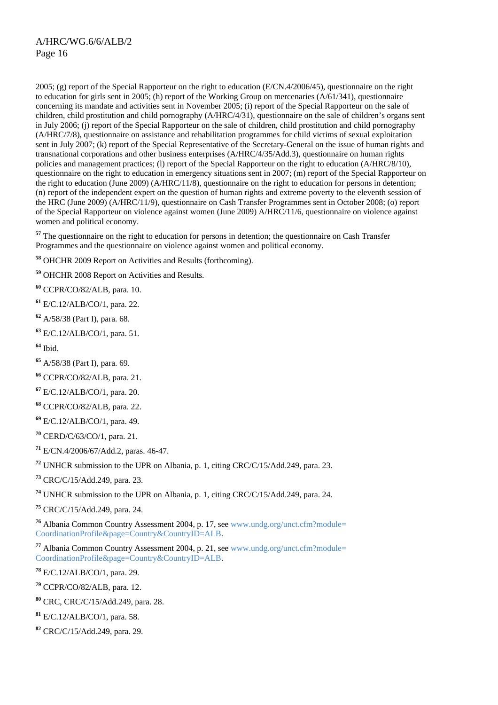<span id="page-15-0"></span>2005; (g) report of the Special Rapporteur on the right to education (E/CN.4/2006/45), questionnaire on the right to education for girls sent in 2005; (h) report of the Working Group on mercenaries (A/61/341), questionnaire concerning its mandate and activities sent in November 2005; (i) report of the Special Rapporteur on the sale of children, child prostitution and child pornography (A/HRC/4/31), questionnaire on the sale of children's organs sent in July 2006; (j) report of the Special Rapporteur on the sale of children, child prostitution and child pornography (A/HRC/7/8), questionnaire on assistance and rehabilitation programmes for child victims of sexual exploitation sent in July 2007; (k) report of the Special Representative of the Secretary-General on the issue of human rights and transnational corporations and other business enterprises (A/HRC/4/35/Add.3), questionnaire on human rights policies and management practices; (l) report of the Special Rapporteur on the right to education (A/HRC/8/10), questionnaire on the right to education in emergency situations sent in 2007; (m) report of the Special Rapporteur on the right to education (June 2009) (A/HRC/11/8), questionnaire on the right to education for persons in detention; (n) report of the independent expert on the question of human rights and extreme poverty to the eleventh session of the HRC (June 2009) (A/HRC/11/9), questionnaire on Cash Transfer Programmes sent in October 2008; (o) report of the Special Rapporteur on violence against women (June 2009) A/HRC/11/6, questionnaire on violence against women and political economy.

<sup>57</sup> The questionnaire on the right to education for persons in detention; the questionnaire on Cash Transfer Programmes and the questionnaire on violence against women and political economy.

**<sup>58</sup>** OHCHR 2009 Report on Activities and Results (forthcoming).

**<sup>59</sup>** OHCHR 2008 Report on Activities and Results.

**<sup>60</sup>** CCPR/CO/82/ALB, para. 10.

**<sup>61</sup>** E/C.12/ALB/CO/1, para. 22.

**<sup>62</sup>** A/58/38 (Part I), para. 68.

**<sup>63</sup>** E/C.12/ALB/CO/1, para. 51.

**<sup>64</sup>** Ibid.

**<sup>65</sup>** A/58/38 (Part I), para. 69.

**<sup>66</sup>** CCPR/CO/82/ALB, para. 21.

**<sup>67</sup>** E/C.12/ALB/CO/1, para. 20.

**<sup>68</sup>** CCPR/CO/82/ALB, para. 22.

**<sup>69</sup>** E/C.12/ALB/CO/1, para. 49.

**<sup>70</sup>** CERD/C/63/CO/1, para. 21.

**<sup>71</sup>** E/CN.4/2006/67/Add.2, paras. 46-47.

**<sup>72</sup>** UNHCR submission to the UPR on Albania, p. 1, citing CRC/C/15/Add.249, para. 23.

**<sup>73</sup>** CRC/C/15/Add.249, para. 23.

**<sup>74</sup>** UNHCR submission to the UPR on Albania, p. 1, citing CRC/C/15/Add.249, para. 24.

**<sup>75</sup>** CRC/C/15/Add.249, para. 24.

**<sup>76</sup>** Albania Common Country Assessment 2004, p. 17, see [www.undg.org/unct.cfm?module=](http://www.undg.org/unct.cfm?module=%20CoordinationProfile&page=Country&CountryID=ALB)  [CoordinationProfile&page=Country&CountryID=ALB](http://www.undg.org/unct.cfm?module=%20CoordinationProfile&page=Country&CountryID=ALB).

**<sup>77</sup>** Albania Common Country Assessment 2004, p. 21, see [www.undg.org/unct.cfm?module=](http://www.undg.org/unct.cfm?module=%20CoordinationProfile&page=Country&CountryID=ALB)  [CoordinationProfile&page=Country&CountryID=ALB](http://www.undg.org/unct.cfm?module=%20CoordinationProfile&page=Country&CountryID=ALB).

**<sup>78</sup>** E/C.12/ALB/CO/1, para. 29.

**<sup>79</sup>** CCPR/CO/82/ALB, para. 12.

**<sup>80</sup>** CRC, CRC/C/15/Add.249, para. 28.

**<sup>81</sup>** E/C.12/ALB/CO/1, para. 58.

**<sup>82</sup>** CRC/C/15/Add.249, para. 29.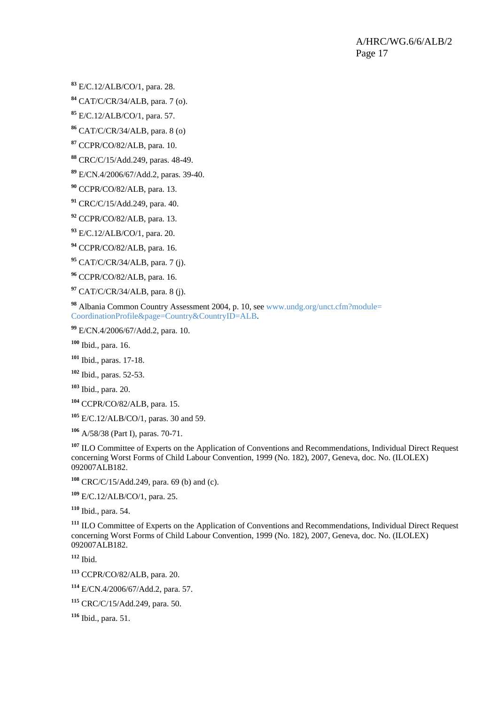<span id="page-16-0"></span>E/C.12/ALB/CO/1, para. 28.

CAT/C/CR/34/ALB, para. 7 (o).

E/C.12/ALB/CO/1, para. 57.

CAT/C/CR/34/ALB, para. 8 (o)

CCPR/CO/82/ALB, para. 10.

CRC/C/15/Add.249, paras. 48-49.

E/CN.4/2006/67/Add.2, paras. 39-40.

CCPR/CO/82/ALB, para. 13.

CRC/C/15/Add.249, para. 40.

CCPR/CO/82/ALB, para. 13.

E/C.12/ALB/CO/1, para. 20.

CCPR/CO/82/ALB, para. 16.

CAT/C/CR/34/ALB, para. 7 (j).

CCPR/CO/82/ALB, para. 16.

CAT/C/CR/34/ALB, para. 8 (j).

 Albania Common Country Assessment 2004, p. 10, see [www.undg.org/unct.cfm?module=](http://www.undg.org/unct.cfm?module=%20CoordinationProfile&page=Country&CountryID=ALB)  [CoordinationProfile&page=Country&CountryID=ALB.](http://www.undg.org/unct.cfm?module=%20CoordinationProfile&page=Country&CountryID=ALB)

E/CN.4/2006/67/Add.2, para. 10.

Ibid., para. 16.

Ibid., paras. 17-18.

Ibid., paras. 52-53.

Ibid., para. 20.

CCPR/CO/82/ALB, para. 15.

E/C.12/ALB/CO/1, paras. 30 and 59.

A/58/38 (Part I), paras. 70-71.

<sup>107</sup> ILO Committee of Experts on the Application of Conventions and Recommendations, Individual Direct Request concerning Worst Forms of Child Labour Convention, 1999 (No. 182), 2007, Geneva, doc. No. (ILOLEX) 092007ALB182.

CRC/C/15/Add.249, para. 69 (b) and (c).

E/C.12/ALB/CO/1, para. 25.

Ibid., para. 54.

 ILO Committee of Experts on the Application of Conventions and Recommendations, Individual Direct Request concerning Worst Forms of Child Labour Convention, 1999 (No. 182), 2007, Geneva, doc. No. (ILOLEX) 092007ALB182.

Ibid.

CCPR/CO/82/ALB, para. 20.

E/CN.4/2006/67/Add.2, para. 57.

CRC/C/15/Add.249, para. 50.

Ibid., para. 51.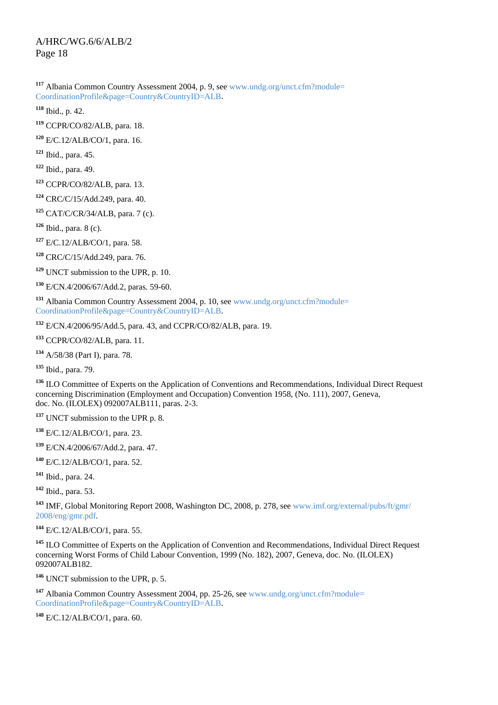<span id="page-17-0"></span> Albania Common Country Assessment 2004, p. 9, see [www.undg.org/unct.cfm?module=](http://www.undg.org/unct.cfm?module=%20CoordinationProfile&page=Country&CountryID=ALB)  [CoordinationProfile&page=Country&CountryID=ALB](http://www.undg.org/unct.cfm?module=%20CoordinationProfile&page=Country&CountryID=ALB).

Ibid., p. 42.

CCPR/CO/82/ALB, para. 18.

E/C.12/ALB/CO/1, para. 16.

Ibid., para. 45.

Ibid., para. 49.

CCPR/CO/82/ALB, para. 13.

CRC/C/15/Add.249, para. 40.

CAT/C/CR/34/ALB, para. 7 (c).

Ibid., para. 8 (c).

E/C.12/ALB/CO/1, para. 58.

CRC/C/15/Add.249, para. 76.

UNCT submission to the UPR, p. 10.

E/CN.4/2006/67/Add.2, paras. 59-60.

 Albania Common Country Assessment 2004, p. 10, see [www.undg.org/unct.cfm?module=](http://www.undg.org/unct.cfm?module=%20CoordinationProfile&page=Country&CountryID=ALB)  [CoordinationProfile&page=Country&CountryID=ALB](http://www.undg.org/unct.cfm?module=%20CoordinationProfile&page=Country&CountryID=ALB).

E/CN.4/2006/95/Add.5, para. 43, and CCPR/CO/82/ALB, para. 19.

CCPR/CO/82/ALB, para. 11.

A/58/38 (Part I), para. 78.

Ibid., para. 79.

 ILO Committee of Experts on the Application of Conventions and Recommendations, Individual Direct Request concerning Discrimination (Employment and Occupation) Convention 1958, (No. 111), 2007, Geneva, doc. No. (ILOLEX) 092007ALB111, paras. 2-3.

UNCT submission to the UPR p. 8.

E/C.12/ALB/CO/1, para. 23.

E/CN.4/2006/67/Add.2, para. 47.

E/C.12/ALB/CO/1, para. 52.

Ibid., para. 24.

Ibid., para. 53.

 IMF, Global Monitoring Report 2008, Washington DC, 2008, p. 278, see [www.imf.org/external/pubs/ft/gmr/](http://www.imf.org/external/pubs/ft/gmr/%202008/eng/gmr.pdf)  [2008/eng/gmr.pdf.](http://www.imf.org/external/pubs/ft/gmr/%202008/eng/gmr.pdf)

E/C.12/ALB/CO/1, para. 55.

 ILO Committee of Experts on the Application of Convention and Recommendations, Individual Direct Request concerning Worst Forms of Child Labour Convention, 1999 (No. 182), 2007, Geneva, doc. No. (ILOLEX) 092007ALB182.

UNCT submission to the UPR, p. 5.

 Albania Common Country Assessment 2004, pp. 25-26, see [www.undg.org/unct.cfm?module=](http://www.undg.org/unct.cfm?module=%20CoordinationProfile&page=Country&CountryID=ALB)  [CoordinationProfile&page=Country&CountryID=ALB](http://www.undg.org/unct.cfm?module=%20CoordinationProfile&page=Country&CountryID=ALB).

E/C.12/ALB/CO/1, para. 60.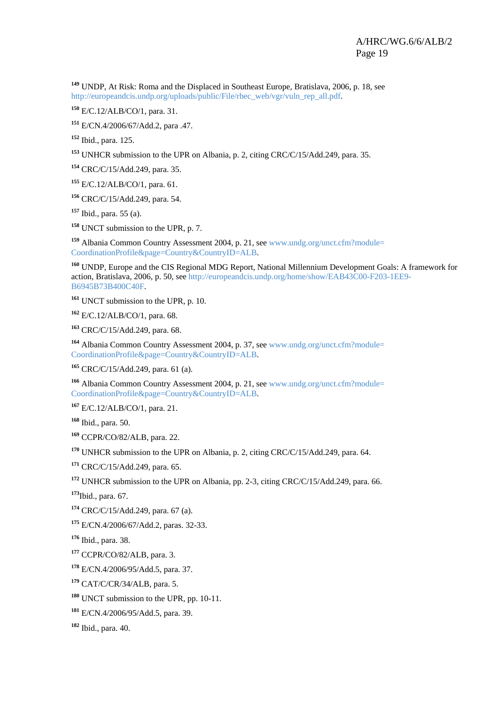<span id="page-18-0"></span> UNDP, At Risk: Roma and the Displaced in Southeast Europe, Bratislava, 2006, p. 18, see [http://europeandcis.undp.org/uploads/public/File/rbec\\_web/vgr/vuln\\_rep\\_all.pdf.](http://europeandcis.undp.org/uploads/public/File/rbec_web/vgr/vuln_rep_all.pdf)

E/C.12/ALB/CO/1, para. 31.

E/CN.4/2006/67/Add.2, para .47.

Ibid., para. 125.

UNHCR submission to the UPR on Albania, p. 2, citing CRC/C/15/Add.249, para. 35.

CRC/C/15/Add.249, para. 35.

E/C.12/ALB/CO/1, para. 61.

CRC/C/15/Add.249, para. 54.

Ibid., para. 55 (a).

UNCT submission to the UPR, p. 7.

 Albania Common Country Assessment 2004, p. 21, see [www.undg.org/unct.cfm?module=](http://www.undg.org/unct.cfm?module=%20CoordinationProfile&page=Country&CountryID=ALB)  [CoordinationProfile&page=Country&CountryID=ALB.](http://www.undg.org/unct.cfm?module=%20CoordinationProfile&page=Country&CountryID=ALB)

 UNDP, Europe and the CIS Regional MDG Report, National Millennium Development Goals: A framework for action, Bratislava, 2006, p. 50, see [http://europeandcis.undp.org/home/show/EAB43C00-F203-1EE9-](http://europeandcis.undp.org/home/show/EAB43C00-F203-1EE9-B6945B73B400C40F) [B6945B73B400C40F](http://europeandcis.undp.org/home/show/EAB43C00-F203-1EE9-B6945B73B400C40F).

UNCT submission to the UPR, p. 10.

E/C.12/ALB/CO/1, para. 68.

CRC/C/15/Add.249, para. 68.

 Albania Common Country Assessment 2004, p. 37, see [www.undg.org/unct.cfm?module=](http://www.undg.org/unct.cfm?module=%20CoordinationProfile&page=Country&CountryID=ALB)  [CoordinationProfile&page=Country&CountryID=ALB.](http://www.undg.org/unct.cfm?module=%20CoordinationProfile&page=Country&CountryID=ALB)

CRC/C/15/Add.249, para. 61 (a).

 Albania Common Country Assessment 2004, p. 21, see [www.undg.org/unct.cfm?module=](http://www.undg.org/unct.cfm?module=%20CoordinationProfile&page=Country&CountryID=ALB)  [CoordinationProfile&page=Country&CountryID=ALB.](http://www.undg.org/unct.cfm?module=%20CoordinationProfile&page=Country&CountryID=ALB)

E/C.12/ALB/CO/1, para. 21.

Ibid., para. 50.

CCPR/CO/82/ALB, para. 22.

UNHCR submission to the UPR on Albania, p. 2, citing CRC/C/15/Add.249, para. 64.

CRC/C/15/Add.249, para. 65.

UNHCR submission to the UPR on Albania, pp. 2-3, citing CRC/C/15/Add.249, para. 66.

Ibid., para. 67.

CRC/C/15/Add.249, para. 67 (a).

E/CN.4/2006/67/Add.2, paras. 32-33.

Ibid., para. 38.

CCPR/CO/82/ALB, para. 3.

E/CN.4/2006/95/Add.5, para. 37.

CAT/C/CR/34/ALB, para. 5.

UNCT submission to the UPR, pp. 10-11.

E/CN.4/2006/95/Add.5, para. 39.

Ibid., para. 40.